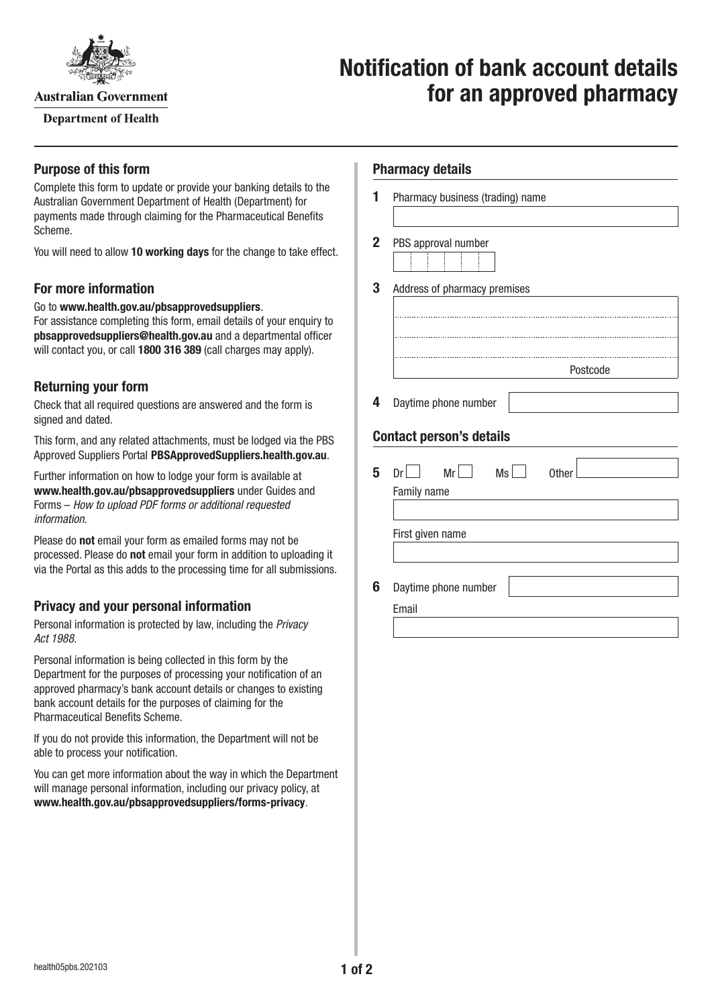

**Australian Government** 

**Department of Health** 

# **Notification of bank account details for an approved pharmacy**

## **Purpose of this form**

Complete this form to update or provide your banking details to the Australian Government Department of Health (Department) for payments made through claiming for the Pharmaceutical Benefits Scheme.

You will need to allow **10 working days** for the change to take effect.

## **For more information**

Go to **[www.health.gov.au/pbsapprovedsuppliers](http://www.health.gov.au/pbsapprovedsuppliers)**.

For assistance completing this form, email details of your enquiry to **[pbsapprovedsuppliers@health.gov.au](mailto:pbsapprovedsuppliers@health.gov.au)** and a departmental officer will contact you, or call **1800 316 389** (call charges may apply).

# **Returning your form**

Check that all required questions are answered and the form is signed and dated.

This form, and any related attachments, must be lodged via the PBS Approved Suppliers Portal [PBSApprovedSuppliers.health.gov.au](http://PBSApprovedSuppliers.health.gov.au).

Further information on how to lodge your form is available at **[www.health.gov.au/pbsapprovedsuppliers](http://www.health.gov.au/pbsapprovedsuppliers)** under Guides and Forms – *How to upload PDF forms or additional requested information*.

Please do **not** email your form as emailed forms may not be processed. Please do **not** email your form in addition to uploading it via the Portal as this adds to the processing time for all submissions.

# **Privacy and your personal information**

Personal information is protected by law, including the *Privacy Act 1988.*

Personal information is being collected in this form by the Department for the purposes of processing your notification of an approved pharmacy's bank account details or changes to existing bank account details for the purposes of claiming for the Pharmaceutical Benefits Scheme.

If you do not provide this information, the Department will not be able to process your notification.

You can get more information about the way in which the Department will manage personal information, including our privacy policy, at **[www.health.gov.au/pbsapprovedsuppliers/forms-privacy](http://www.health.gov.au/pbsapprovedsuppliers/forms-privacy)**.

## **Pharmacy details**

| 1 | Pharmacy business (trading) name                           |
|---|------------------------------------------------------------|
| 2 | PBS approval number                                        |
| 3 | Address of pharmacy premises                               |
|   |                                                            |
|   |                                                            |
|   | Postcode                                                   |
| 4 | Daytime phone number                                       |
|   | <b>Contact person's details</b>                            |
| 5 | Mr<br>Ms<br>Dr <sub>1</sub><br><b>Other</b><br>Family name |
|   |                                                            |
|   | First given name                                           |
|   |                                                            |
| 6 | Daytime phone number                                       |
|   | Email                                                      |